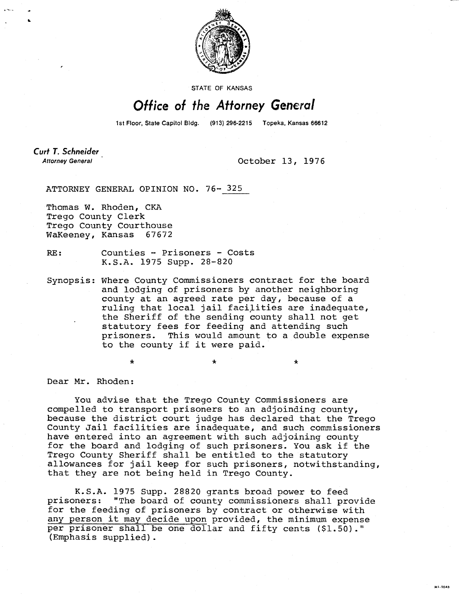

STATE OF KANSAS

## Office of the Attorney General

1st Floor, State Capitol Bldg. (913) 296-2215 Topeka, Kansas 66612

Curt T. Schneider **Attorney General** 

October 13, 1976

 $\star$ 

**MILTOAN** 

ATTORNEY GENERAL OPINION NO. 76- 325

Thomas W. Rhoden, CKA Trego County Clerk Trego County Courthouse WaKeeney, Kansas 67672

RE: Counties - Prisoners - Costs K.S.A. 1975 Supp. 28-820

Synopsis: Where County Commissioners contract for the board and lodging of prisoners by another neighboring county at an agreed rate per day, because of a ruling that local jail facilities are inadequate, the Sheriff of the sending county shall not get statutory fees for feeding and attending such prisoners. This would amount to a double expense to the county if it were paid.

Dear Mr. Rhoden:

You advise that the Trego County Commissioners are compelled to transport prisoners to an adjoinding county, because the district court judge has declared that the Trego County Jail facilities are inadequate, and such commissioners have entered into an agreement with such adjoining county for the board and lodging of such prisoners. You ask if the Trego County Sheriff shall be entitled to the statutory allowances for jail keep for such prisoners, notwithstanding, that they are not being held in Trego County.

K.S.A. 1975 Supp. 28820 grants broad power to feed prisoners: "The board of county commissioners shall provide for the feeding of prisoners by contract or otherwise with any person it may decide upon provided, the minimum expense per prisoner shall be one dollar and fifty cents (\$1.50)." (Emphasis supplied).